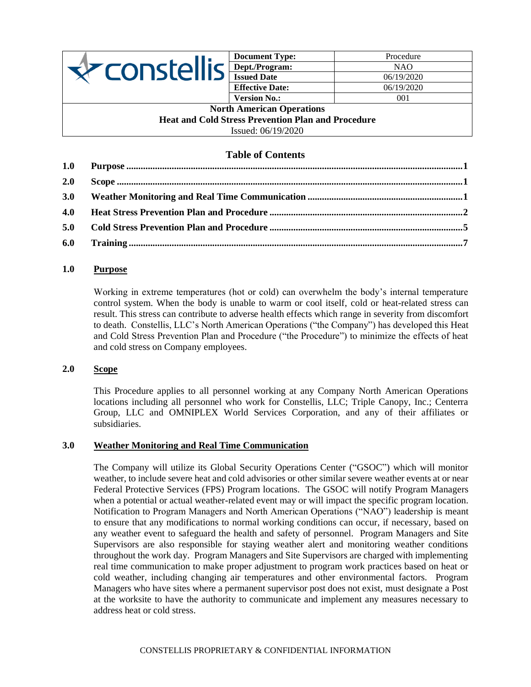

| <b>Document Type:</b>  | Procedure  |
|------------------------|------------|
| Dept./Program:         | NAO.       |
| <b>Issued Date</b>     | 06/19/2020 |
| <b>Effective Date:</b> | 06/19/2020 |
| <b>Version No.:</b>    | 001        |

#### **North American Operations Heat and Cold Stress Prevention Plan and Procedure** Issued: 06/19/2020

# **Table of Contents**

| 2.0 |  |
|-----|--|
|     |  |
| 4.0 |  |
|     |  |
|     |  |

# <span id="page-0-0"></span>**1.0 Purpose**

Working in extreme temperatures (hot or cold) can overwhelm the body's internal temperature control system. When the body is unable to warm or cool itself, cold or heat-related stress can result. This stress can contribute to adverse health effects which range in severity from discomfort to death. Constellis, LLC's North American Operations ("the Company") has developed this Heat and Cold Stress Prevention Plan and Procedure ("the Procedure") to minimize the effects of heat and cold stress on Company employees.

## <span id="page-0-1"></span>**2.0 Scope**

This Procedure applies to all personnel working at any Company North American Operations locations including all personnel who work for Constellis, LLC; Triple Canopy, Inc.; Centerra Group, LLC and OMNIPLEX World Services Corporation, and any of their affiliates or subsidiaries.

## <span id="page-0-2"></span>**3.0 Weather Monitoring and Real Time Communication**

The Company will utilize its Global Security Operations Center ("GSOC") which will monitor weather, to include severe heat and cold advisories or other similar severe weather events at or near Federal Protective Services (FPS) Program locations. The GSOC will notify Program Managers when a potential or actual weather-related event may or will impact the specific program location. Notification to Program Managers and North American Operations ("NAO") leadership is meant to ensure that any modifications to normal working conditions can occur, if necessary, based on any weather event to safeguard the health and safety of personnel. Program Managers and Site Supervisors are also responsible for staying weather alert and monitoring weather conditions throughout the work day. Program Managers and Site Supervisors are charged with implementing real time communication to make proper adjustment to program work practices based on heat or cold weather, including changing air temperatures and other environmental factors. Program Managers who have sites where a permanent supervisor post does not exist, must designate a Post at the worksite to have the authority to communicate and implement any measures necessary to address heat or cold stress.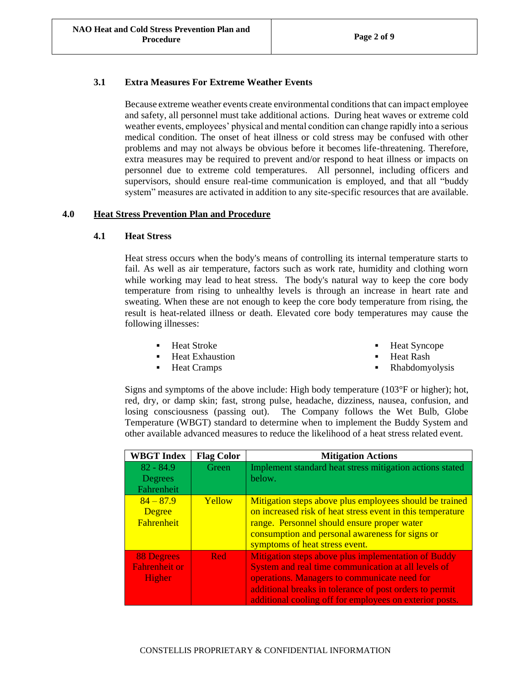## **3.1 Extra Measures For Extreme Weather Events**

Because extreme weather events create environmental conditions that can impact employee and safety, all personnel must take additional actions. During heat waves or extreme cold weather events, employees' physical and mental condition can change rapidly into a serious medical condition. The onset of heat illness or cold stress may be confused with other problems and may not always be obvious before it becomes life-threatening. Therefore, extra measures may be required to prevent and/or respond to heat illness or impacts on personnel due to extreme cold temperatures. All personnel, including officers and supervisors, should ensure real-time communication is employed, and that all "buddy system" measures are activated in addition to any site-specific resources that are available.

## <span id="page-1-0"></span>**4.0 Heat Stress Prevention Plan and Procedure**

## **4.1 Heat Stress**

Heat stress occurs when the body's means of controlling its internal temperature starts to fail. As well as air temperature, factors such as work rate, humidity and clothing worn while working may lead to heat stress. The body's natural way to keep the core body temperature from rising to unhealthy levels is through an increase in heart rate and sweating. When these are not enough to keep the core body temperature from rising, the result is heat-related illness or death. Elevated core body temperatures may cause the following illnesses:

- Heat Stroke
- Heat Exhaustion
- Heat Cramps
- **Heat Syncope**
- **Heat Rash**
- Rhabdomyolysis

Signs and symptoms of the above include: High body temperature (103°F or higher); hot, red, dry, or damp skin; fast, strong pulse, headache, dizziness, nausea, confusion, and losing consciousness (passing out). The Company follows the Wet Bulb, Globe Temperature (WBGT) standard to determine when to implement the Buddy System and other available advanced measures to reduce the likelihood of a heat stress related event.

| <b>WBGT</b> Index                                          | <b>Flag Color</b> | <b>Mitigation Actions</b>                                                                                                                                                                                                                                                        |
|------------------------------------------------------------|-------------------|----------------------------------------------------------------------------------------------------------------------------------------------------------------------------------------------------------------------------------------------------------------------------------|
| $82 - 84.9$<br>Degrees<br>Fahrenheit                       | Green             | Implement standard heat stress mitigation actions stated<br>below.                                                                                                                                                                                                               |
| $84 - 87.9$<br>Degree<br><b>Fahrenheit</b>                 | Yellow            | Mitigation steps above plus employees should be trained<br>on increased risk of heat stress event in this temperature<br>range. Personnel should ensure proper water<br>consumption and personal awareness for signs or<br>symptoms of heat stress event.                        |
| <b>88 Degrees</b><br><b>Fahrenheit or</b><br><b>Higher</b> | Red               | Mitigation steps above plus implementation of Buddy<br>System and real time communication at all levels of<br>operations. Managers to communicate need for<br>additional breaks in tolerance of post orders to permit<br>additional cooling off for employees on exterior posts. |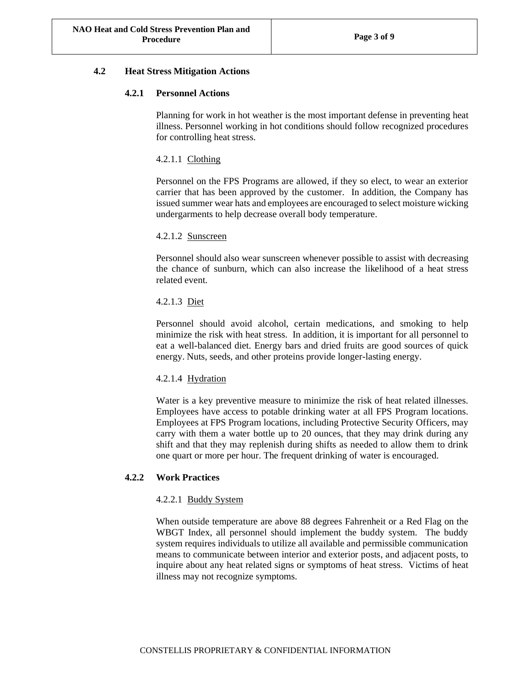## **4.2 Heat Stress Mitigation Actions**

## **4.2.1 Personnel Actions**

Planning for work in hot weather is the most important defense in preventing heat illness. Personnel working in hot conditions should follow recognized procedures for controlling heat stress.

## 4.2.1.1 Clothing

Personnel on the FPS Programs are allowed, if they so elect, to wear an exterior carrier that has been approved by the customer. In addition, the Company has issued summer wear hats and employees are encouraged to select moisture wicking undergarments to help decrease overall body temperature.

## 4.2.1.2 Sunscreen

Personnel should also wear sunscreen whenever possible to assist with decreasing the chance of sunburn, which can also increase the likelihood of a heat stress related event.

## 4.2.1.3 Diet

Personnel should avoid alcohol, certain medications, and smoking to help minimize the risk with heat stress. In addition, it is important for all personnel to eat a well-balanced diet. Energy bars and dried fruits are good sources of quick energy. Nuts, seeds, and other proteins provide longer-lasting energy.

## 4.2.1.4 Hydration

Water is a key preventive measure to minimize the risk of heat related illnesses. Employees have access to potable drinking water at all FPS Program locations. Employees at FPS Program locations, including Protective Security Officers, may carry with them a water bottle up to 20 ounces, that they may drink during any shift and that they may replenish during shifts as needed to allow them to drink one quart or more per hour. The frequent drinking of water is encouraged.

## **4.2.2 Work Practices**

## 4.2.2.1 Buddy System

When outside temperature are above 88 degrees Fahrenheit or a Red Flag on the WBGT Index, all personnel should implement the buddy system. The buddy system requires individuals to utilize all available and permissible communication means to communicate between interior and exterior posts, and adjacent posts, to inquire about any heat related signs or symptoms of heat stress. Victims of heat illness may not recognize symptoms.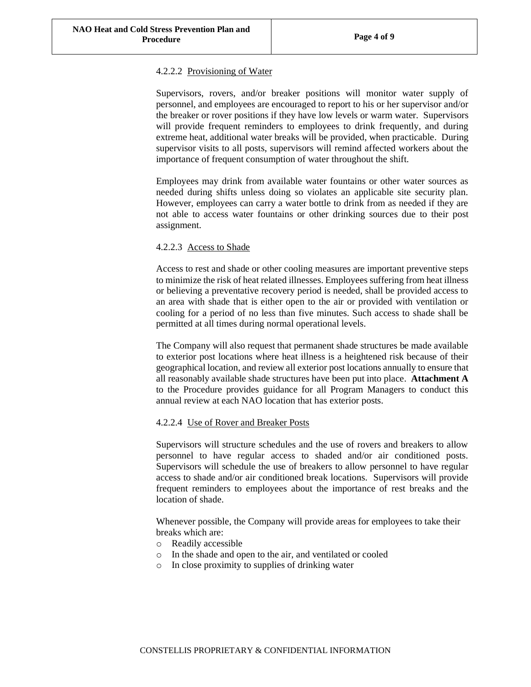## 4.2.2.2 Provisioning of Water

Supervisors, rovers, and/or breaker positions will monitor water supply of personnel, and employees are encouraged to report to his or her supervisor and/or the breaker or rover positions if they have low levels or warm water. Supervisors will provide frequent reminders to employees to drink frequently, and during extreme heat, additional water breaks will be provided, when practicable. During supervisor visits to all posts, supervisors will remind affected workers about the importance of frequent consumption of water throughout the shift.

Employees may drink from available water fountains or other water sources as needed during shifts unless doing so violates an applicable site security plan. However, employees can carry a water bottle to drink from as needed if they are not able to access water fountains or other drinking sources due to their post assignment.

## 4.2.2.3 Access to Shade

Access to rest and shade or other cooling measures are important preventive steps to minimize the risk of heat related illnesses. Employees suffering from heat illness or believing a preventative recovery period is needed, shall be provided access to an area with shade that is either open to the air or provided with ventilation or cooling for a period of no less than five minutes. Such access to shade shall be permitted at all times during normal operational levels.

The Company will also request that permanent shade structures be made available to exterior post locations where heat illness is a heightened risk because of their geographical location, and review all exterior post locations annually to ensure that all reasonably available shade structures have been put into place. **Attachment A** to the Procedure provides guidance for all Program Managers to conduct this annual review at each NAO location that has exterior posts.

## 4.2.2.4 Use of Rover and Breaker Posts

Supervisors will structure schedules and the use of rovers and breakers to allow personnel to have regular access to shaded and/or air conditioned posts. Supervisors will schedule the use of breakers to allow personnel to have regular access to shade and/or air conditioned break locations. Supervisors will provide frequent reminders to employees about the importance of rest breaks and the location of shade.

Whenever possible, the Company will provide areas for employees to take their breaks which are:

- o Readily accessible
- o In the shade and open to the air, and ventilated or cooled
- o In close proximity to supplies of drinking water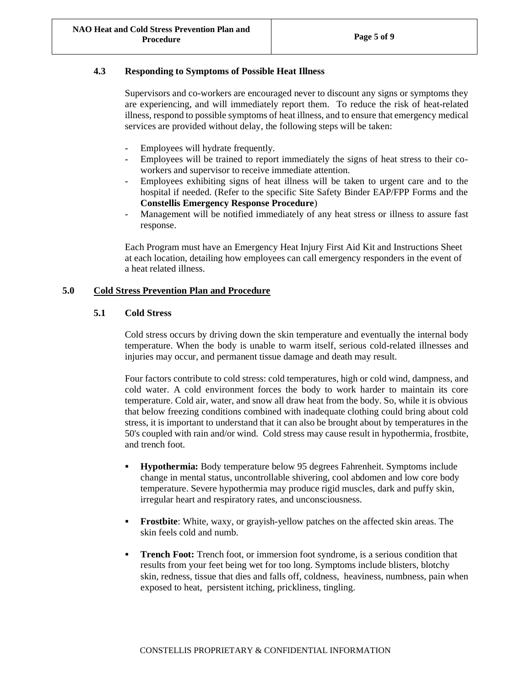## **4.3 Responding to Symptoms of Possible Heat Illness**

Supervisors and co-workers are encouraged never to discount any signs or symptoms they are experiencing, and will immediately report them. To reduce the risk of heat-related illness, respond to possible symptoms of heat illness, and to ensure that emergency medical services are provided without delay, the following steps will be taken:

- Employees will hydrate frequently.
- Employees will be trained to report immediately the signs of heat stress to their coworkers and supervisor to receive immediate attention.
- Employees exhibiting signs of heat illness will be taken to urgent care and to the hospital if needed. (Refer to the specific Site Safety Binder EAP/FPP Forms and the **Constellis Emergency Response Procedure**)
- Management will be notified immediately of any heat stress or illness to assure fast response.

Each Program must have an Emergency Heat Injury First Aid Kit and Instructions Sheet at each location, detailing how employees can call emergency responders in the event of a heat related illness.

## <span id="page-4-0"></span>**5.0 Cold Stress Prevention Plan and Procedure**

## **5.1 Cold Stress**

Cold stress occurs by driving down the skin temperature and eventually the internal body temperature. When the body is unable to warm itself, serious cold-related illnesses and injuries may occur, and permanent tissue damage and death may result.

Four factors contribute to cold stress: cold temperatures, high or cold wind, dampness, and cold water. A cold environment forces the body to work harder to maintain its core temperature. Cold air, water, and snow all draw heat from the body. So, while it is obvious that below freezing conditions combined with inadequate clothing could bring about cold stress, it is important to understand that it can also be brought about by temperatures in the 50's coupled with rain and/or wind. Cold stress may cause result in hypothermia, frostbite, and trench foot.

- **Hypothermia:** Body temperature below 95 degrees Fahrenheit. Symptoms include change in mental status, uncontrollable shivering, cool abdomen and low core body temperature. Severe hypothermia may produce rigid muscles, dark and puffy skin, irregular heart and respiratory rates, and unconsciousness.
- **Frostbite**: White, waxy, or grayish-yellow patches on the affected skin areas. The skin feels cold and numb.
- **Trench Foot:** Trench foot, or immersion foot syndrome, is a serious condition that results from your feet being wet for too long. Symptoms include blisters, blotchy skin, redness, tissue that dies and falls off, coldness, heaviness, numbness, pain when exposed to heat, persistent itching, prickliness, tingling.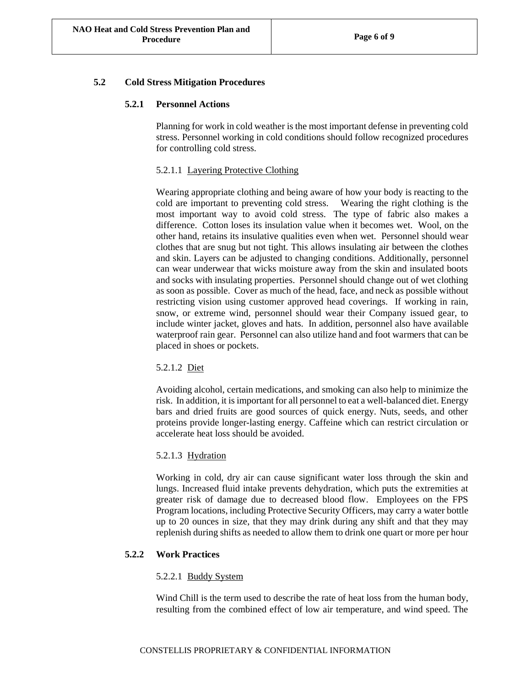## **5.2 Cold Stress Mitigation Procedures**

#### **5.2.1 Personnel Actions**

Planning for work in cold weather is the most important defense in preventing cold stress. Personnel working in cold conditions should follow recognized procedures for controlling cold stress.

## 5.2.1.1 Layering Protective Clothing

Wearing appropriate clothing and being aware of how your body is reacting to the cold are important to preventing cold stress. Wearing the right clothing is the most important way to avoid cold stress. The type of fabric also makes a difference. Cotton loses its insulation value when it becomes wet. Wool, on the other hand, retains its insulative qualities even when wet. Personnel should wear clothes that are snug but not tight. This allows insulating air between the clothes and skin. Layers can be adjusted to changing conditions. Additionally, personnel can wear underwear that wicks moisture away from the skin and insulated boots and socks with insulating properties. Personnel should change out of wet clothing as soon as possible. Cover as much of the head, face, and neck as possible without restricting vision using customer approved head coverings. If working in rain, snow, or extreme wind, personnel should wear their Company issued gear, to include winter jacket, gloves and hats. In addition, personnel also have available waterproof rain gear. Personnel can also utilize hand and foot warmers that can be placed in shoes or pockets.

## 5.2.1.2 Diet

Avoiding alcohol, certain medications, and smoking can also help to minimize the risk. In addition, it is important for all personnel to eat a well-balanced diet. Energy bars and dried fruits are good sources of quick energy. Nuts, seeds, and other proteins provide longer-lasting energy. Caffeine which can restrict circulation or accelerate heat loss should be avoided.

## 5.2.1.3 Hydration

Working in cold, dry air can cause significant water loss through the skin and lungs. Increased fluid intake prevents dehydration, which puts the extremities at greater risk of damage due to decreased blood flow. Employees on the FPS Program locations, including Protective Security Officers, may carry a water bottle up to 20 ounces in size, that they may drink during any shift and that they may replenish during shifts as needed to allow them to drink one quart or more per hour

#### **5.2.2 Work Practices**

#### 5.2.2.1 Buddy System

Wind Chill is the term used to describe the rate of heat loss from the human body, resulting from the combined effect of low air temperature, and wind speed. The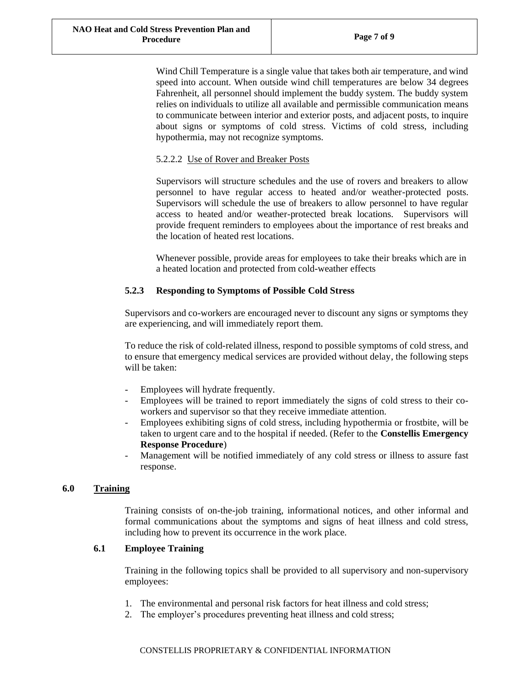Wind Chill Temperature is a single value that takes both air temperature, and wind speed into account. When outside wind chill temperatures are below 34 degrees Fahrenheit, all personnel should implement the buddy system. The buddy system relies on individuals to utilize all available and permissible communication means to communicate between interior and exterior posts, and adjacent posts, to inquire about signs or symptoms of cold stress. Victims of cold stress, including hypothermia, may not recognize symptoms.

## 5.2.2.2 Use of Rover and Breaker Posts

Supervisors will structure schedules and the use of rovers and breakers to allow personnel to have regular access to heated and/or weather-protected posts. Supervisors will schedule the use of breakers to allow personnel to have regular access to heated and/or weather-protected break locations. Supervisors will provide frequent reminders to employees about the importance of rest breaks and the location of heated rest locations.

Whenever possible, provide areas for employees to take their breaks which are in a heated location and protected from cold-weather effects

## **5.2.3 Responding to Symptoms of Possible Cold Stress**

Supervisors and co-workers are encouraged never to discount any signs or symptoms they are experiencing, and will immediately report them.

To reduce the risk of cold-related illness, respond to possible symptoms of cold stress, and to ensure that emergency medical services are provided without delay, the following steps will be taken:

- Employees will hydrate frequently.
- Employees will be trained to report immediately the signs of cold stress to their coworkers and supervisor so that they receive immediate attention.
- Employees exhibiting signs of cold stress, including hypothermia or frostbite, will be taken to urgent care and to the hospital if needed. (Refer to the **Constellis Emergency Response Procedure**)
- Management will be notified immediately of any cold stress or illness to assure fast response.

## <span id="page-6-0"></span>**6.0 Training**

Training consists of on-the-job training, informational notices, and other informal and formal communications about the symptoms and signs of heat illness and cold stress, including how to prevent its occurrence in the work place.

## **6.1 Employee Training**

Training in the following topics shall be provided to all supervisory and non-supervisory employees:

- 1. The environmental and personal risk factors for heat illness and cold stress;
- 2. The employer's procedures preventing heat illness and cold stress;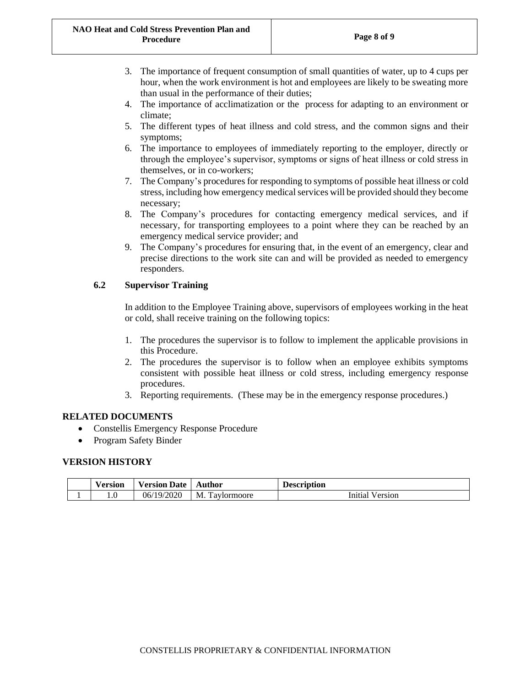- 3. The importance of frequent consumption of small quantities of water, up to 4 cups per hour, when the work environment is hot and employees are likely to be sweating more than usual in the performance of their duties;
- 4. The importance of acclimatization or the process for adapting to an environment or climate;
- 5. The different types of heat illness and cold stress, and the common signs and their symptoms;
- 6. The importance to employees of immediately reporting to the employer, directly or through the employee's supervisor, symptoms or signs of heat illness or cold stress in themselves, or in co-workers;
- 7. The Company's procedures for responding to symptoms of possible heat illness or cold stress, including how emergency medical services will be provided should they become necessary;
- 8. The Company's procedures for contacting emergency medical services, and if necessary, for transporting employees to a point where they can be reached by an emergency medical service provider; and
- 9. The Company's procedures for ensuring that, in the event of an emergency, clear and precise directions to the work site can and will be provided as needed to emergency responders.

## **6.2 Supervisor Training**

In addition to the Employee Training above, supervisors of employees working in the heat or cold, shall receive training on the following topics:

- 1. The procedures the supervisor is to follow to implement the applicable provisions in this Procedure.
- 2. The procedures the supervisor is to follow when an employee exhibits symptoms consistent with possible heat illness or cold stress, including emergency response procedures.
- 3. Reporting requirements. (These may be in the emergency response procedures.)

## **RELATED DOCUMENTS**

- Constellis Emergency Response Procedure
- Program Safety Binder

## **VERSION HISTORY**

| √ersion | <b>Date</b><br>Version | Author                      | <b>Description</b> |
|---------|------------------------|-----------------------------|--------------------|
| L.U     | 06/19/2020             | $\sim$<br>M<br>1 aviormoore | Version<br>Initial |